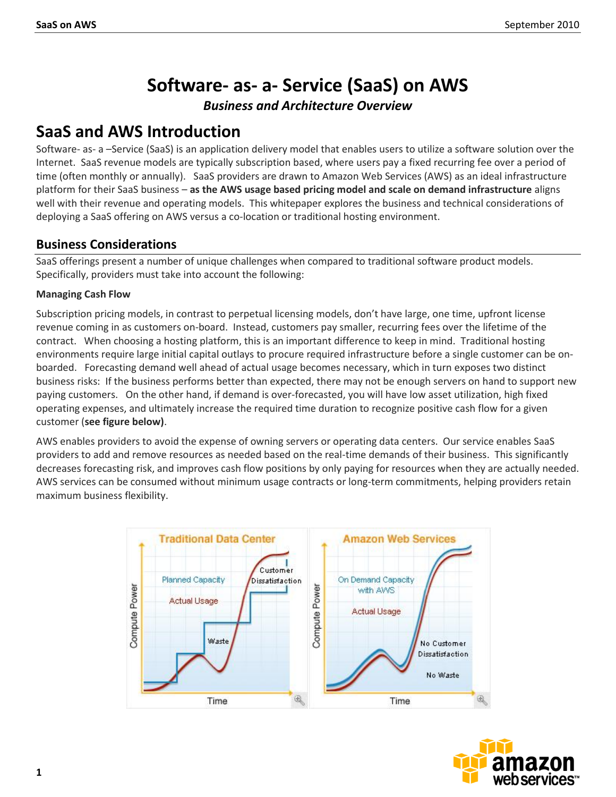# **Software- as- a- Service (SaaS) on AWS**

*Business and Architecture Overview*

# **SaaS and AWS Introduction**

Software- as- a –Service (SaaS) is an application delivery model that enables users to utilize a software solution over the Internet. SaaS revenue models are typically subscription based, where users pay a fixed recurring fee over a period of time (often monthly or annually). SaaS providers are drawn to Amazon Web Services (AWS) as an ideal infrastructure platform for their SaaS business – **as the AWS usage based pricing model and scale on demand infrastructure** aligns well with their revenue and operating models. This whitepaper explores the business and technical considerations of deploying a SaaS offering on AWS versus a co-location or traditional hosting environment.

# **Business Considerations**

SaaS offerings present a number of unique challenges when compared to traditional software product models. Specifically, providers must take into account the following:

### **Managing Cash Flow**

Subscription pricing models, in contrast to perpetual licensing models, don't have large, one time, upfront license revenue coming in as customers on-board. Instead, customers pay smaller, recurring fees over the lifetime of the contract. When choosing a hosting platform, this is an important difference to keep in mind. Traditional hosting environments require large initial capital outlays to procure required infrastructure before a single customer can be onboarded. Forecasting demand well ahead of actual usage becomes necessary, which in turn exposes two distinct business risks: If the business performs better than expected, there may not be enough servers on hand to support new paying customers. On the other hand, if demand is over-forecasted, you will have low asset utilization, high fixed operating expenses, and ultimately increase the required time duration to recognize positive cash flow for a given customer (**see figure below)**.

AWS enables providers to avoid the expense of owning servers or operating data centers. Our service enables SaaS providers to add and remove resources as needed based on the real-time demands of their business. This significantly decreases forecasting risk, and improves cash flow positions by only paying for resources when they are actually needed. AWS services can be consumed without minimum usage contracts or long-term commitments, helping providers retain maximum business flexibility.



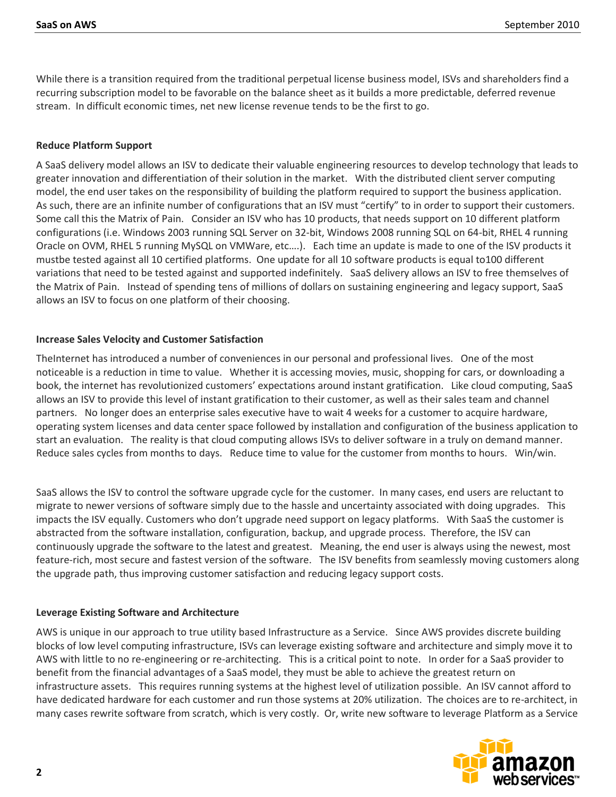While there is a transition required from the traditional perpetual license business model, ISVs and shareholders find a recurring subscription model to be favorable on the balance sheet as it builds a more predictable, deferred revenue stream. In difficult economic times, net new license revenue tends to be the first to go.

#### **Reduce Platform Support**

A SaaS delivery model allows an ISV to dedicate their valuable engineering resources to develop technology that leads to greater innovation and differentiation of their solution in the market. With the distributed client server computing model, the end user takes on the responsibility of building the platform required to support the business application. As such, there are an infinite number of configurations that an ISV must "certify" to in order to support their customers. Some call this the Matrix of Pain. Consider an ISV who has 10 products, that needs support on 10 different platform configurations (i.e. Windows 2003 running SQL Server on 32-bit, Windows 2008 running SQL on 64-bit, RHEL 4 running Oracle on OVM, RHEL 5 running MySQL on VMWare, etc….). Each time an update is made to one of the ISV products it mustbe tested against all 10 certified platforms. One update for all 10 software products is equal to100 different variations that need to be tested against and supported indefinitely. SaaS delivery allows an ISV to free themselves of the Matrix of Pain. Instead of spending tens of millions of dollars on sustaining engineering and legacy support, SaaS allows an ISV to focus on one platform of their choosing.

#### **Increase Sales Velocity and Customer Satisfaction**

TheInternet has introduced a number of conveniences in our personal and professional lives. One of the most noticeable is a reduction in time to value. Whether it is accessing movies, music, shopping for cars, or downloading a book, the internet has revolutionized customers' expectations around instant gratification. Like cloud computing, SaaS allows an ISV to provide this level of instant gratification to their customer, as well as their sales team and channel partners. No longer does an enterprise sales executive have to wait 4 weeks for a customer to acquire hardware, operating system licenses and data center space followed by installation and configuration of the business application to start an evaluation. The reality is that cloud computing allows ISVs to deliver software in a truly on demand manner. Reduce sales cycles from months to days. Reduce time to value for the customer from months to hours. Win/win.

SaaS allows the ISV to control the software upgrade cycle for the customer. In many cases, end users are reluctant to migrate to newer versions of software simply due to the hassle and uncertainty associated with doing upgrades. This impacts the ISV equally. Customers who don't upgrade need support on legacy platforms. With SaaS the customer is abstracted from the software installation, configuration, backup, and upgrade process. Therefore, the ISV can continuously upgrade the software to the latest and greatest. Meaning, the end user is always using the newest, most feature-rich, most secure and fastest version of the software. The ISV benefits from seamlessly moving customers along the upgrade path, thus improving customer satisfaction and reducing legacy support costs.

#### **Leverage Existing Software and Architecture**

AWS is unique in our approach to true utility based Infrastructure as a Service. Since AWS provides discrete building blocks of low level computing infrastructure, ISVs can leverage existing software and architecture and simply move it to AWS with little to no re-engineering or re-architecting. This is a critical point to note. In order for a SaaS provider to benefit from the financial advantages of a SaaS model, they must be able to achieve the greatest return on infrastructure assets. This requires running systems at the highest level of utilization possible. An ISV cannot afford to have dedicated hardware for each customer and run those systems at 20% utilization. The choices are to re-architect, in many cases rewrite software from scratch, which is very costly. Or, write new software to leverage Platform as a Service

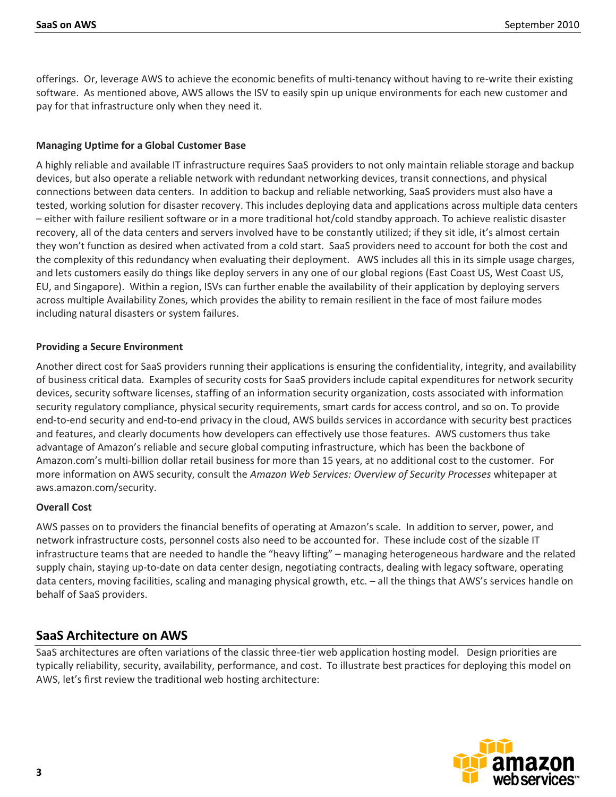offerings. Or, leverage AWS to achieve the economic benefits of multi-tenancy without having to re-write their existing software. As mentioned above, AWS allows the ISV to easily spin up unique environments for each new customer and pay for that infrastructure only when they need it.

#### **Managing Uptime for a Global Customer Base**

A highly reliable and available IT infrastructure requires SaaS providers to not only maintain reliable storage and backup devices, but also operate a reliable network with redundant networking devices, transit connections, and physical connections between data centers. In addition to backup and reliable networking, SaaS providers must also have a tested, working solution for disaster recovery. This includes deploying data and applications across multiple data centers – either with failure resilient software or in a more traditional hot/cold standby approach. To achieve realistic disaster recovery, all of the data centers and servers involved have to be constantly utilized; if they sit idle, it's almost certain they won't function as desired when activated from a cold start. SaaS providers need to account for both the cost and the complexity of this redundancy when evaluating their deployment. AWS includes all this in its simple usage charges, and lets customers easily do things like deploy servers in any one of our global regions (East Coast US, West Coast US, EU, and Singapore). Within a region, ISVs can further enable the availability of their application by deploying servers across multiple Availability Zones, which provides the ability to remain resilient in the face of most failure modes including natural disasters or system failures.

#### **Providing a Secure Environment**

Another direct cost for SaaS providers running their applications is ensuring the confidentiality, integrity, and availability of business critical data. Examples of security costs for SaaS providers include capital expenditures for network security devices, security software licenses, staffing of an information security organization, costs associated with information security regulatory compliance, physical security requirements, smart cards for access control, and so on. To provide end-to-end security and end-to-end privacy in the cloud, AWS builds services in accordance with security best practices and features, and clearly documents how developers can effectively use those features. AWS customers thus take advantage of Amazon's reliable and secure global computing infrastructure, which has been the backbone of Amazon.com's multi-billion dollar retail business for more than 15 years, at no additional cost to the customer. For more information on AWS security, consult the *Amazon Web Services: Overview of Security Processes* whitepaper at aws.amazon.com/security.

#### **Overall Cost**

AWS passes on to providers the financial benefits of operating at Amazon's scale. In addition to server, power, and network infrastructure costs, personnel costs also need to be accounted for. These include cost of the sizable IT infrastructure teams that are needed to handle the "heavy lifting" – managing heterogeneous hardware and the related supply chain, staying up-to-date on data center design, negotiating contracts, dealing with legacy software, operating data centers, moving facilities, scaling and managing physical growth, etc. – all the things that AWS's services handle on behalf of SaaS providers.

#### **SaaS Architecture on AWS**

SaaS architectures are often variations of the classic three-tier web application hosting model. Design priorities are typically reliability, security, availability, performance, and cost. To illustrate best practices for deploying this model on AWS, let's first review the traditional web hosting architecture:

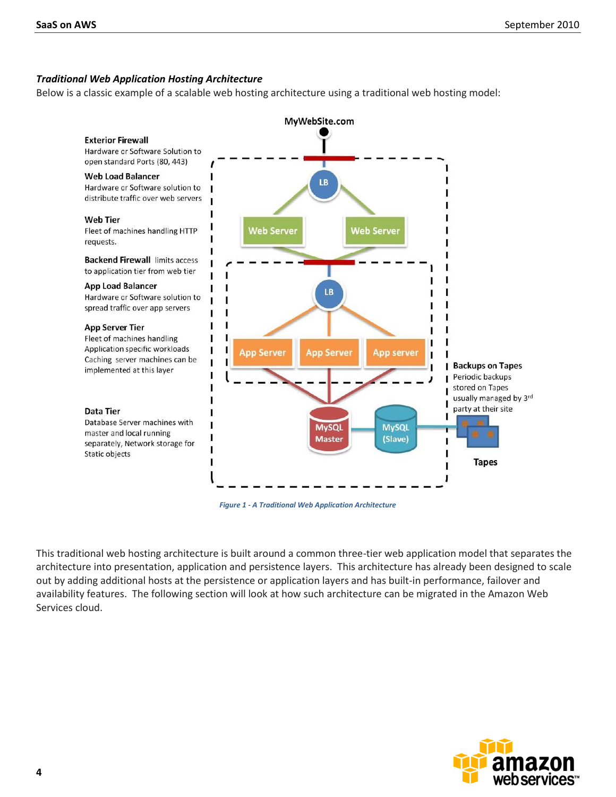#### *Traditional Web Application Hosting Architecture*

Below is a classic example of a scalable web hosting architecture using a traditional web hosting model:



*Figure 1 - A Traditional Web Application Architecture*

This traditional web hosting architecture is built around a common three-tier web application model that separates the architecture into presentation, application and persistence layers. This architecture has already been designed to scale out by adding additional hosts at the persistence or application layers and has built-in performance, failover and availability features. The following section will look at how such architecture can be migrated in the Amazon Web Services cloud.

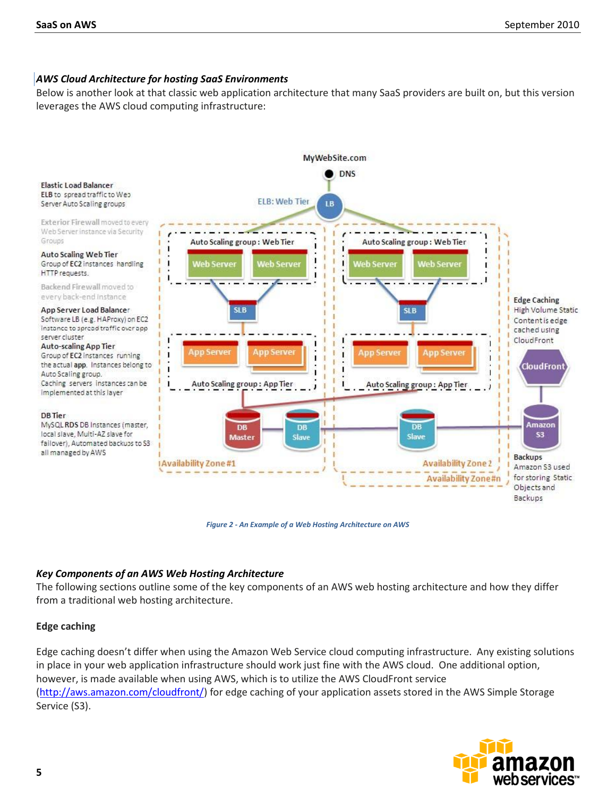#### *AWS Cloud Architecture for hosting SaaS Environments*

Below is another look at that classic web application architecture that many SaaS providers are built on, but this version leverages the AWS cloud computing infrastructure:



*Figure 2 - An Example of a Web Hosting Architecture on AWS*

#### *Key Components of an AWS Web Hosting Architecture*

The following sections outline some of the key components of an AWS web hosting architecture and how they differ from a traditional web hosting architecture.

#### **Edge caching**

Edge caching doesn't differ when using the Amazon Web Service cloud computing infrastructure. Any existing solutions in place in your web application infrastructure should work just fine with the AWS cloud. One additional option, however, is made available when using AWS, which is to utilize the AWS CloudFront service [\(http://aws.amazon.com/cloudfront/\)](http://aws.amazon.com/cloudfront/) for edge caching of your application assets stored in the AWS Simple Storage Service (S3).

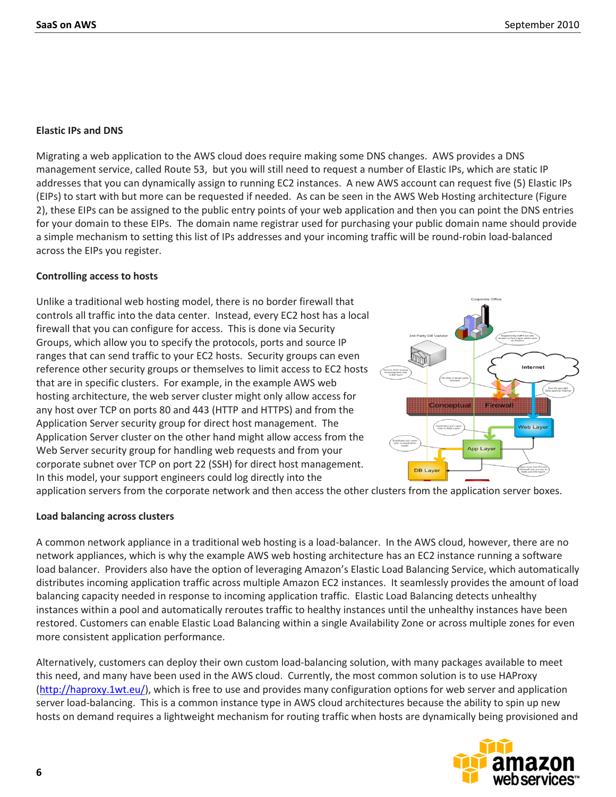#### **Elastic IPs and DNS**

Migrating a web application to the AWS cloud does require making some DNS changes. AWS provides a DNS management service, called Route 53, but you will still need to request a number of Elastic IPs, which are static IP addresses that you can dynamically assign to running EC2 instances. A new AWS account can request five (5) Elastic IPs (EIPs) to start with but more can be requested if needed. As can be seen in the AWS Web Hosting architecture (Figure 2), these EIPs can be assigned to the public entry points of your web application and then you can point the DNS entries for your domain to these EIPs. The domain name registrar used for purchasing your public domain name should provide a simple mechanism to setting this list of IPs addresses and your incoming traffic will be round-robin load-balanced across the EIPs you register.

#### **Controlling access to hosts**

Unlike a traditional web hosting model, there is no border firewall that controls all traffic into the data center. Instead, every EC2 host has a local firewall that you can configure for access. This is done via Security Groups, which allow you to specify the protocols, ports and source IP ranges that can send traffic to your EC2 hosts. Security groups can even reference other security groups or themselves to limit access to EC2 hosts that are in specific clusters. For example, in the example AWS web hosting architecture, the web server cluster might only allow access for any host over TCP on ports 80 and 443 (HTTP and HTTPS) and from the Application Server security group for direct host management. The Application Server cluster on the other hand might allow access from the Web Server security group for handling web requests and from your corporate subnet over TCP on port 22 (SSH) for direct host management. In this model, your support engineers could log directly into the



application servers from the corporate network and then access the other clusters from the application server boxes.

#### **Load balancing across clusters**

A common network appliance in a traditional web hosting is a load-balancer. In the AWS cloud, however, there are no network appliances, which is why the example AWS web hosting architecture has an EC2 instance running a software load balancer. Providers also have the option of leveraging Amazon's Elastic Load Balancing Service, which automatically distributes incoming application traffic across multiple Amazon EC2 instances. It seamlessly provides the amount of load balancing capacity needed in response to incoming application traffic. Elastic Load Balancing detects unhealthy instances within a pool and automatically reroutes traffic to healthy instances until the unhealthy instances have been restored. Customers can enable Elastic Load Balancing within a single Availability Zone or across multiple zones for even more consistent application performance.

Alternatively, customers can deploy their own custom load-balancing solution, with many packages available to meet this need, and many have been used in the AWS cloud. Currently, the most common solution is to use HAProxy [\(http://haproxy.1wt.eu/\)](http://haproxy.1wt.eu/), which is free to use and provides many configuration options for web server and application server load-balancing. This is a common instance type in AWS cloud architectures because the ability to spin up new hosts on demand requires a lightweight mechanism for routing traffic when hosts are dynamically being provisioned and

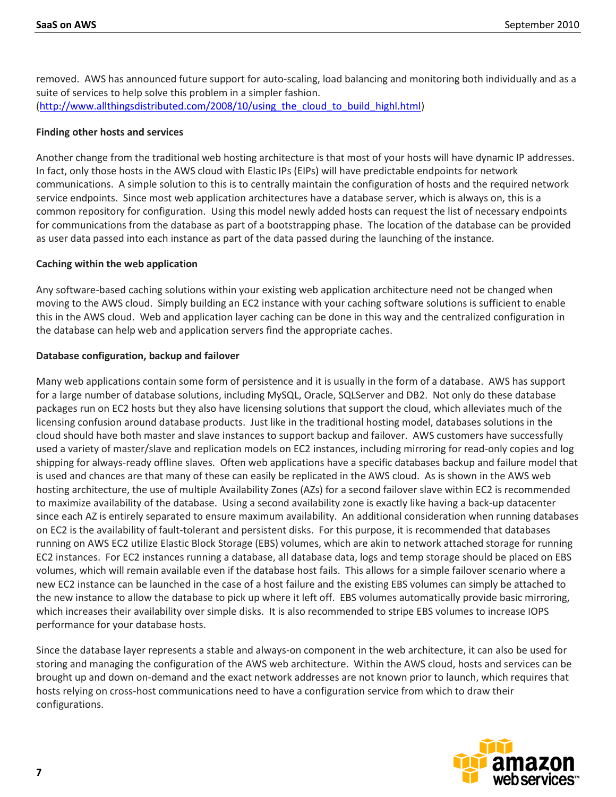removed. AWS has announced future support for auto-scaling, load balancing and monitoring both individually and as a suite of services to help solve this problem in a simpler fashion. [\(http://www.allthingsdistributed.com/2008/10/using\\_the\\_cloud\\_to\\_build\\_highl.html\)](http://www.allthingsdistributed.com/2008/10/using_the_cloud_to_build_highl.html)

#### **Finding other hosts and services**

Another change from the traditional web hosting architecture is that most of your hosts will have dynamic IP addresses. In fact, only those hosts in the AWS cloud with Elastic IPs (EIPs) will have predictable endpoints for network communications. A simple solution to this is to centrally maintain the configuration of hosts and the required network service endpoints. Since most web application architectures have a database server, which is always on, this is a common repository for configuration. Using this model newly added hosts can request the list of necessary endpoints for communications from the database as part of a bootstrapping phase. The location of the database can be provided as user data passed into each instance as part of the data passed during the launching of the instance.

#### **Caching within the web application**

Any software-based caching solutions within your existing web application architecture need not be changed when moving to the AWS cloud. Simply building an EC2 instance with your caching software solutions is sufficient to enable this in the AWS cloud. Web and application layer caching can be done in this way and the centralized configuration in the database can help web and application servers find the appropriate caches.

#### **Database configuration, backup and failover**

Many web applications contain some form of persistence and it is usually in the form of a database. AWS has support for a large number of database solutions, including MySQL, Oracle, SQLServer and DB2. Not only do these database packages run on EC2 hosts but they also have licensing solutions that support the cloud, which alleviates much of the licensing confusion around database products. Just like in the traditional hosting model, databases solutions in the cloud should have both master and slave instances to support backup and failover. AWS customers have successfully used a variety of master/slave and replication models on EC2 instances, including mirroring for read-only copies and log shipping for always-ready offline slaves. Often web applications have a specific databases backup and failure model that is used and chances are that many of these can easily be replicated in the AWS cloud. As is shown in the AWS web hosting architecture, the use of multiple Availability Zones (AZs) for a second failover slave within EC2 is recommended to maximize availability of the database. Using a second availability zone is exactly like having a back-up datacenter since each AZ is entirely separated to ensure maximum availability. An additional consideration when running databases on EC2 is the availability of fault-tolerant and persistent disks. For this purpose, it is recommended that databases running on AWS EC2 utilize Elastic Block Storage (EBS) volumes, which are akin to network attached storage for running EC2 instances. For EC2 instances running a database, all database data, logs and temp storage should be placed on EBS volumes, which will remain available even if the database host fails. This allows for a simple failover scenario where a new EC2 instance can be launched in the case of a host failure and the existing EBS volumes can simply be attached to the new instance to allow the database to pick up where it left off. EBS volumes automatically provide basic mirroring, which increases their availability over simple disks. It is also recommended to stripe EBS volumes to increase IOPS performance for your database hosts.

Since the database layer represents a stable and always-on component in the web architecture, it can also be used for storing and managing the configuration of the AWS web architecture. Within the AWS cloud, hosts and services can be brought up and down on-demand and the exact network addresses are not known prior to launch, which requires that hosts relying on cross-host communications need to have a configuration service from which to draw their configurations.

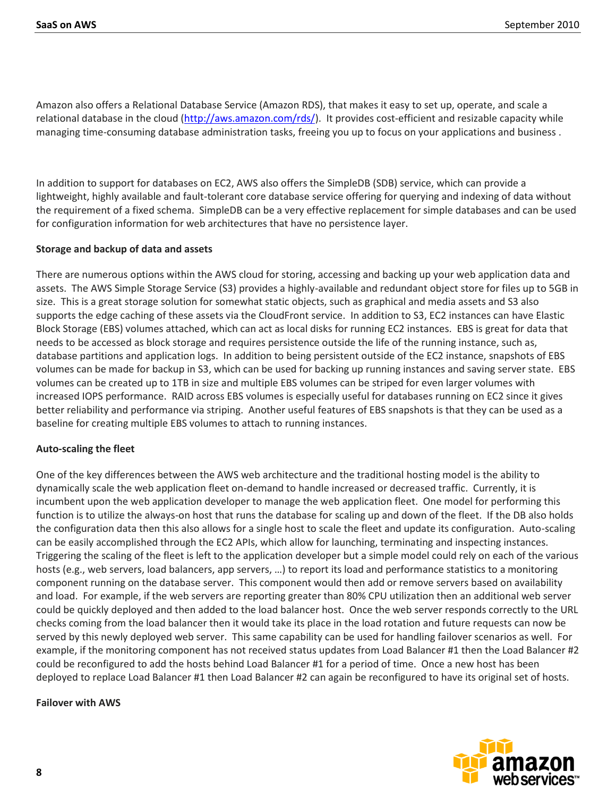Amazon also offers a Relational Database Service (Amazon RDS), that makes it easy to set up, operate, and scale a relational database in the cloud [\(http://aws.amazon.com/rds/\)](http://aws.amazon.com/rds/). It provides cost-efficient and resizable capacity while managing time-consuming database administration tasks, freeing you up to focus on your applications and business .

In addition to support for databases on EC2, AWS also offers the SimpleDB (SDB) service, which can provide a lightweight, highly available and fault-tolerant core database service offering for querying and indexing of data without the requirement of a fixed schema. SimpleDB can be a very effective replacement for simple databases and can be used for configuration information for web architectures that have no persistence layer.

#### **Storage and backup of data and assets**

There are numerous options within the AWS cloud for storing, accessing and backing up your web application data and assets. The AWS Simple Storage Service (S3) provides a highly-available and redundant object store for files up to 5GB in size. This is a great storage solution for somewhat static objects, such as graphical and media assets and S3 also supports the edge caching of these assets via the CloudFront service. In addition to S3, EC2 instances can have Elastic Block Storage (EBS) volumes attached, which can act as local disks for running EC2 instances. EBS is great for data that needs to be accessed as block storage and requires persistence outside the life of the running instance, such as, database partitions and application logs. In addition to being persistent outside of the EC2 instance, snapshots of EBS volumes can be made for backup in S3, which can be used for backing up running instances and saving server state. EBS volumes can be created up to 1TB in size and multiple EBS volumes can be striped for even larger volumes with increased IOPS performance. RAID across EBS volumes is especially useful for databases running on EC2 since it gives better reliability and performance via striping. Another useful features of EBS snapshots is that they can be used as a baseline for creating multiple EBS volumes to attach to running instances.

#### **Auto-scaling the fleet**

One of the key differences between the AWS web architecture and the traditional hosting model is the ability to dynamically scale the web application fleet on-demand to handle increased or decreased traffic. Currently, it is incumbent upon the web application developer to manage the web application fleet. One model for performing this function is to utilize the always-on host that runs the database for scaling up and down of the fleet. If the DB also holds the configuration data then this also allows for a single host to scale the fleet and update its configuration. Auto-scaling can be easily accomplished through the EC2 APIs, which allow for launching, terminating and inspecting instances. Triggering the scaling of the fleet is left to the application developer but a simple model could rely on each of the various hosts (e.g., web servers, load balancers, app servers, …) to report its load and performance statistics to a monitoring component running on the database server. This component would then add or remove servers based on availability and load. For example, if the web servers are reporting greater than 80% CPU utilization then an additional web server could be quickly deployed and then added to the load balancer host. Once the web server responds correctly to the URL checks coming from the load balancer then it would take its place in the load rotation and future requests can now be served by this newly deployed web server. This same capability can be used for handling failover scenarios as well. For example, if the monitoring component has not received status updates from Load Balancer #1 then the Load Balancer #2 could be reconfigured to add the hosts behind Load Balancer #1 for a period of time. Once a new host has been deployed to replace Load Balancer #1 then Load Balancer #2 can again be reconfigured to have its original set of hosts.

#### **Failover with AWS**

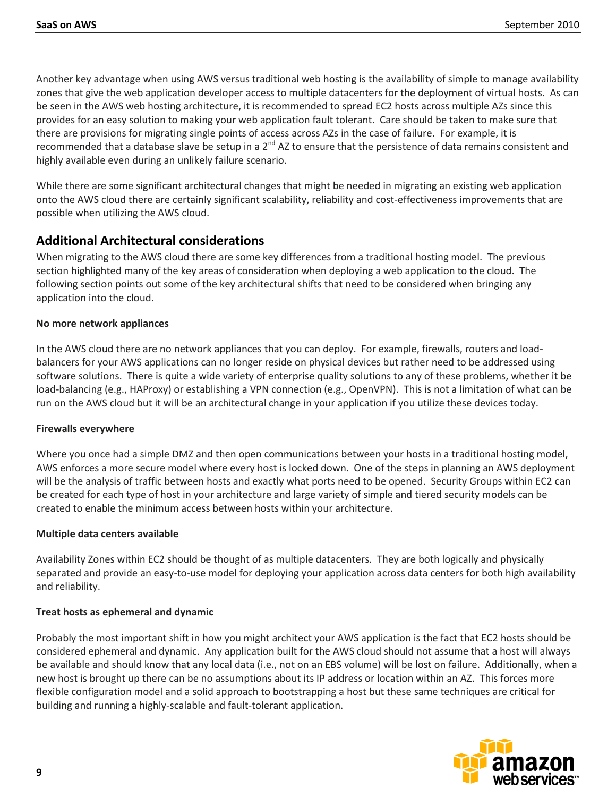Another key advantage when using AWS versus traditional web hosting is the availability of simple to manage availability zones that give the web application developer access to multiple datacenters for the deployment of virtual hosts. As can be seen in the AWS web hosting architecture, it is recommended to spread EC2 hosts across multiple AZs since this provides for an easy solution to making your web application fault tolerant. Care should be taken to make sure that there are provisions for migrating single points of access across AZs in the case of failure. For example, it is recommended that a database slave be setup in a  $2^{nd}$  AZ to ensure that the persistence of data remains consistent and highly available even during an unlikely failure scenario.

While there are some significant architectural changes that might be needed in migrating an existing web application onto the AWS cloud there are certainly significant scalability, reliability and cost-effectiveness improvements that are possible when utilizing the AWS cloud.

## **Additional Architectural considerations**

When migrating to the AWS cloud there are some key differences from a traditional hosting model. The previous section highlighted many of the key areas of consideration when deploying a web application to the cloud. The following section points out some of the key architectural shifts that need to be considered when bringing any application into the cloud.

#### **No more network appliances**

In the AWS cloud there are no network appliances that you can deploy. For example, firewalls, routers and loadbalancers for your AWS applications can no longer reside on physical devices but rather need to be addressed using software solutions. There is quite a wide variety of enterprise quality solutions to any of these problems, whether it be load-balancing (e.g., HAProxy) or establishing a VPN connection (e.g., OpenVPN). This is not a limitation of what can be run on the AWS cloud but it will be an architectural change in your application if you utilize these devices today.

#### **Firewalls everywhere**

Where you once had a simple DMZ and then open communications between your hosts in a traditional hosting model, AWS enforces a more secure model where every host is locked down. One of the steps in planning an AWS deployment will be the analysis of traffic between hosts and exactly what ports need to be opened. Security Groups within EC2 can be created for each type of host in your architecture and large variety of simple and tiered security models can be created to enable the minimum access between hosts within your architecture.

#### **Multiple data centers available**

Availability Zones within EC2 should be thought of as multiple datacenters. They are both logically and physically separated and provide an easy-to-use model for deploying your application across data centers for both high availability and reliability.

#### **Treat hosts as ephemeral and dynamic**

Probably the most important shift in how you might architect your AWS application is the fact that EC2 hosts should be considered ephemeral and dynamic. Any application built for the AWS cloud should not assume that a host will always be available and should know that any local data (i.e., not on an EBS volume) will be lost on failure. Additionally, when a new host is brought up there can be no assumptions about its IP address or location within an AZ. This forces more flexible configuration model and a solid approach to bootstrapping a host but these same techniques are critical for building and running a highly-scalable and fault-tolerant application.

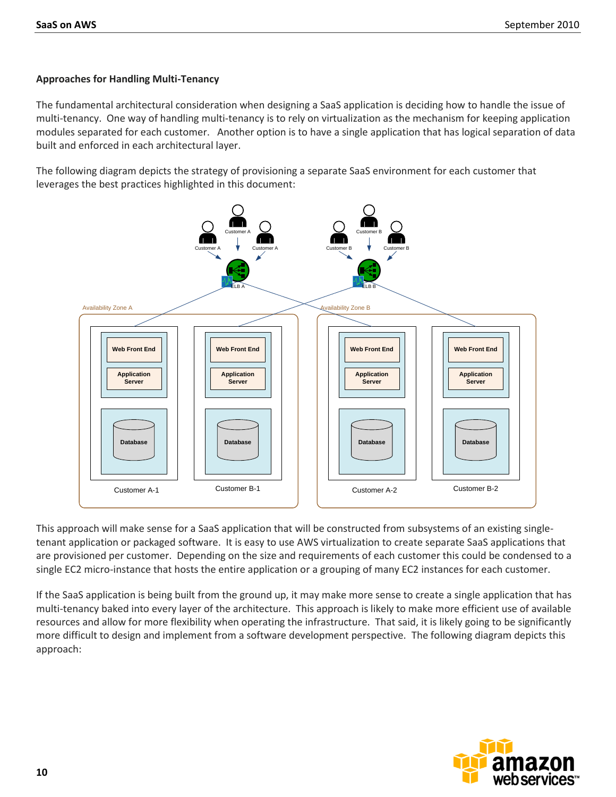#### **Approaches for Handling Multi-Tenancy**

The fundamental architectural consideration when designing a SaaS application is deciding how to handle the issue of multi-tenancy. One way of handling multi-tenancy is to rely on virtualization as the mechanism for keeping application modules separated for each customer. Another option is to have a single application that has logical separation of data built and enforced in each architectural layer.

The following diagram depicts the strategy of provisioning a separate SaaS environment for each customer that leverages the best practices highlighted in this document:



This approach will make sense for a SaaS application that will be constructed from subsystems of an existing singletenant application or packaged software. It is easy to use AWS virtualization to create separate SaaS applications that are provisioned per customer. Depending on the size and requirements of each customer this could be condensed to a single EC2 micro-instance that hosts the entire application or a grouping of many EC2 instances for each customer.

If the SaaS application is being built from the ground up, it may make more sense to create a single application that has multi-tenancy baked into every layer of the architecture. This approach is likely to make more efficient use of available resources and allow for more flexibility when operating the infrastructure. That said, it is likely going to be significantly more difficult to design and implement from a software development perspective. The following diagram depicts this approach: